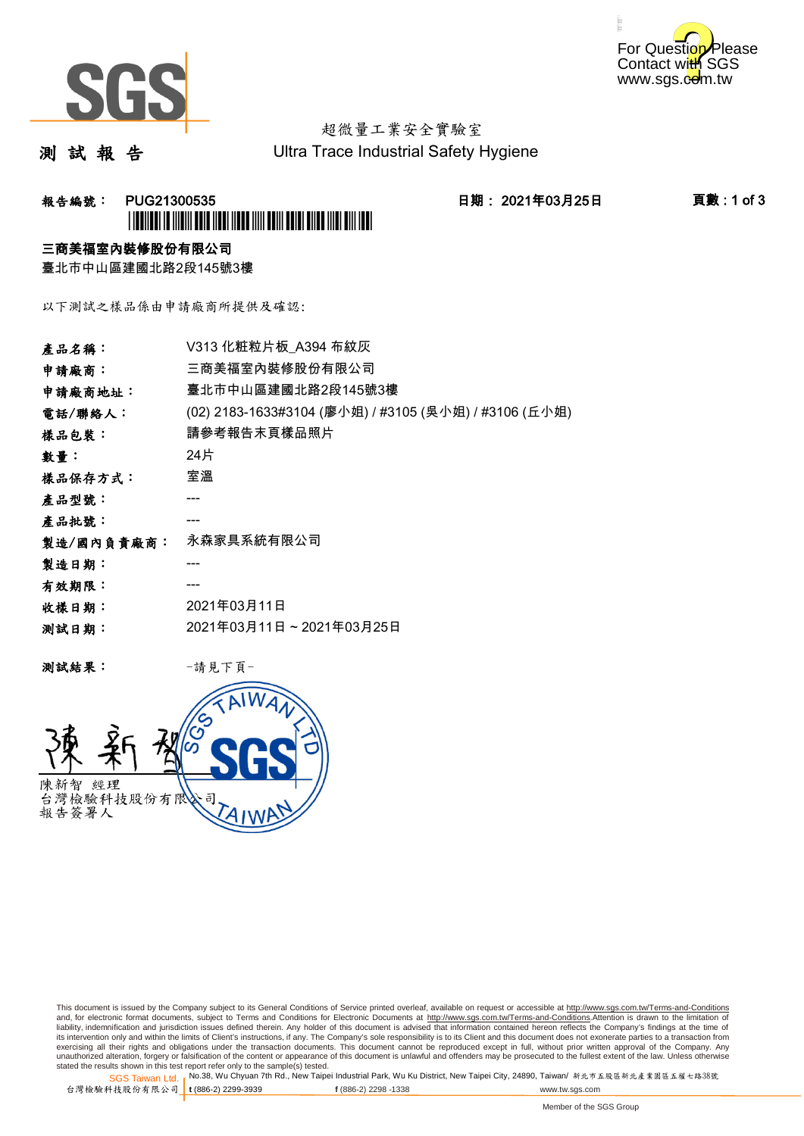



# 超微量工業安全實驗室

測 試 報 告

Ultra Trace Industrial Safety Hygiene

## **報告編號: PUG21300535 日期: 2021年03月25日 頁數:1 of 3** \*PUG21300535\*

### 三商美福室內裝修股份有限公司

臺北市中山區建國北路2段145號3樓

以下測試之樣品係由申請廠商所提供及確認:

| 產品名稱:      | V313 化粧粒片板 A394 布紋灰                                   |
|------------|-------------------------------------------------------|
| 申請廠商:      | 三商美福室內裝修股份有限公司                                        |
| 申請廠商地址:    | 臺北市中山區建國北路2段145號3樓                                    |
| 電話/聯絡人:    | (02) 2183-1633#3104 (廖小姐) / #3105 (吳小姐) / #3106 (丘小姐) |
| 樣品包裝:      | 請參考報告末頁樣品照片                                           |
| 數量:        | 24片                                                   |
| 樣品保存方式:    | 室溫                                                    |
| 產品型號:      |                                                       |
| 產品批號:      |                                                       |
| 製造/國內負責廠商: | 永森家具系統有限公司                                            |
| 製造日期:      |                                                       |
| 有效期限:      |                                                       |
| 收樣日期:      | 2021年03月11日                                           |
| 测試日期:      | 2021年03月11日~2021年03月25日                               |
|            |                                                       |

测試結果: 一請見下頁



This document is issued by the Company subject to its General Conditions of Service printed overleaf, available on request or accessible at http://www.sgs.com.tw/Terms-and-Conditions and, for electronic format documents, subject to Terms and Conditions for Electronic Documents at <u>http://www.sgs.com.tw/Terms-and-Conditions</u>.Attention is drawn to the limitation of<br>liability, indemnification and jurisdic exercising all their rights and obligations under the transaction documents. This document cannot be reproduced except in full, without prior written approval of the Company. Any<br>unauthorized alteration, forgery or falsifi

SGS Taiwan Ltd. 1 stated the results shown in this test report refer only to the sample(s) tested.<br>Stated the results shown in this test report refer only to the sample(s) tested.

台灣檢驗科技股份有限公司

**t** (886-2) 2299-3939 **f** (886-2) 2298 -1338 www.tw.sgs.com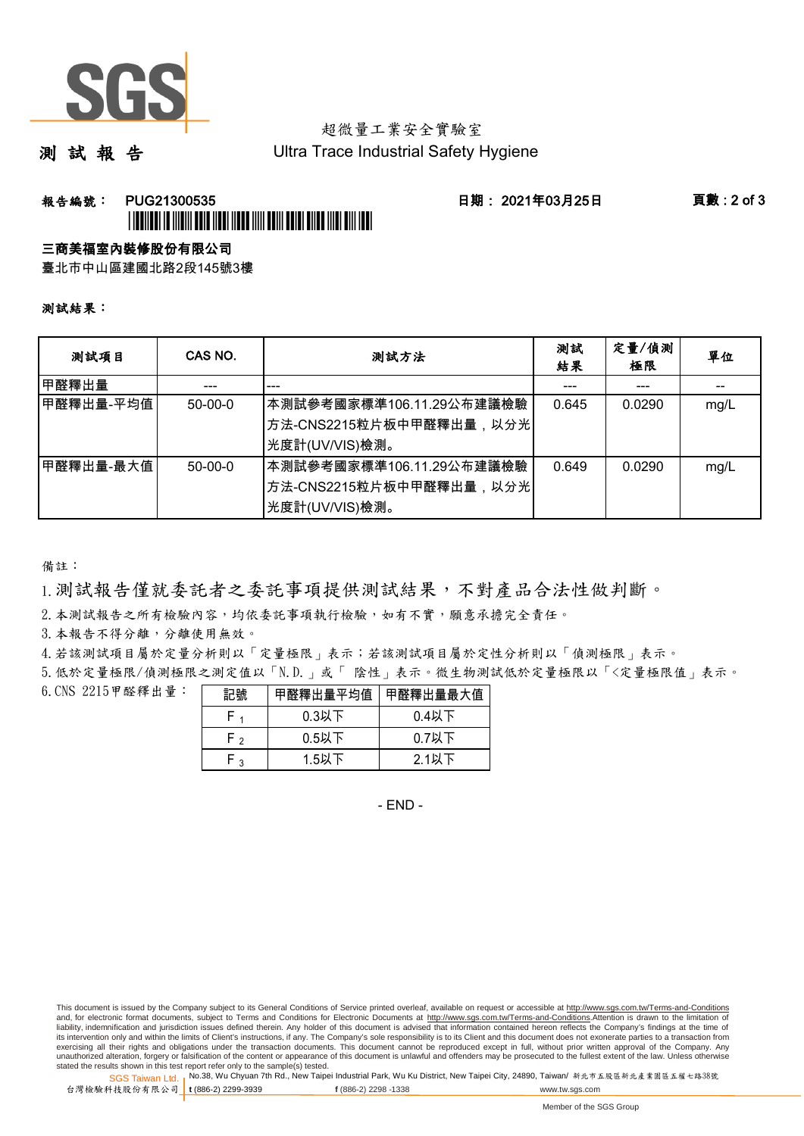

# 超微量工業安全實驗室

測 試 報 告

Ultra Trace Industrial Safety Hygiene

### **報告編號: PUG21300535 日期: 2021年03月25日 頁數:2 of 3** \*PUG21300535\*

#### 三商美福室內裝修股份有限公司

臺北市中山區建國北路2段145號3樓

#### 測試結果:

| 测試項目      | CAS NO.       | 測試方法                                                                                 | 測試<br>結果 | 定量/偵測<br>極限 | 單位   |
|-----------|---------------|--------------------------------------------------------------------------------------|----------|-------------|------|
| 甲醛釋出量     |               |                                                                                      |          |             |      |
| 甲醛釋出量-平均值 | $50 - 00 - 0$ | 本測試參考國家標準106.11.29公布建議檢驗<br>│方法-CNS2215粒片板中甲醛釋出量,以分光│<br>光度計(UV/VIS)檢測。              | 0.645    | 0.0290      | mg/L |
| 甲醛釋出量-最大值 | $50 - 00 - 0$ | ┃本測試參考國家標準106.11.29公布建議檢驗<br><sup> </sup> 方法-CNS2215粒片板中甲醛釋出量,以分光 <br>光度計(UV/VIS)檢測。 | 0.649    | 0.0290      | mg/L |

備註:

1.測試報告僅就委託者之委託事項提供測試結果,不對產品合法性做判斷。

2.本測試報告之所有檢驗內容,均依委託事項執行檢驗,如有不實,願意承擔完全責任。

3. 本報告不得分離,分離使用無效。

4.若該測試項目屬於定量分析則以「定量極限」表示;若該測試項目屬於定性分析則以「偵測極限」表示。

5.低於定量極限/偵測極限之測定值以「N.D.」或「 陰性」表示。微生物測試低於定量極限以「<定量極限值」表示。

6. CNS 2215甲醛釋出量: =====

| 記號           | 甲醛釋出量平均值 甲醛釋出量最大值 |          |
|--------------|-------------------|----------|
|              | $0.3$ 以下          | $0.4$ 以下 |
| $\mathsf{F}$ | $0.5$ 以下          | $0.7$ 以下 |
|              | $1.5$ 以下          | $2.1$ 以下 |

- END -

This document is issued by the Company subject to its General Conditions of Service printed overleaf, available on request or accessible at http://www.sgs.com.tw/Terms-and-Conditions and, for electronic format documents, subject to Terms and Conditions for Electronic Documents at http://www.sgs.com.tw/Terms-and-Conditions.Attention is drawn to the limitation of liability, indemnification and jurisdiction issues defined therein. Any holder of this document is advised that information contained hereon reflects the Company's findings at the time of<br>its intervention only and within t exercising all their rights and obligations under the transaction documents. This document cannot be reproduced except in full, without prior written approval of the Company. Any<br>unauthorized alteration, forgery or falsifi

SGS Taiwan Ltd. 1 stated the results shown in this test report refer only to the sample(s) tested.<br>Stated the results shown in this test report refer only to the sample(s) tested.

台灣檢驗科技股份有限公司